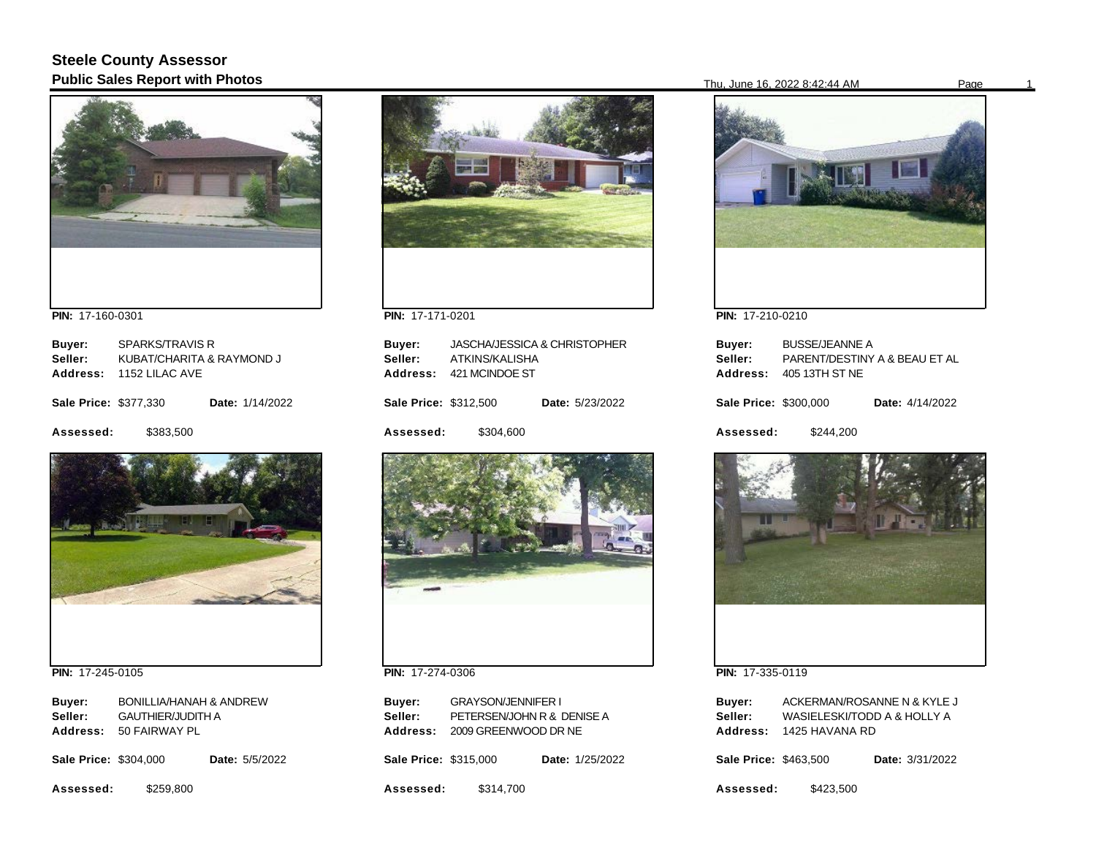# **Steele County Assessor Public Sales Report with Photos** Page 16, 2022 8:42:44 AM Page 16, 2022 8:42:44 AM Page



**PIN:**  17-160-0301

| Buyer:                       | SPARKS/TRAVIS R           |                 |
|------------------------------|---------------------------|-----------------|
| Seller:                      | KUBAT/CHARITA & RAYMOND J |                 |
| Address:                     | 1152 LILAC AVE            |                 |
| <b>Sale Price: \$377,330</b> |                           | Date: 1/14/2022 |
| Assessed:                    | \$383.500                 |                 |



**PIN:**  17-245-0105

| Buyer:   | <b>BONILLIA/HANAH &amp; ANDREW</b> |
|----------|------------------------------------|
| Seller:  | <b>GAUTHIER/JUDITH A</b>           |
| Address: | 50 FAIRWAY PL                      |

| <b>Sale Price: \$304,000</b> |           | <b>Date: 5/5/2022</b> |  |
|------------------------------|-----------|-----------------------|--|
| Assessed:                    | \$259.800 |                       |  |



**PIN:**  17-171-0201

| Buyer:<br>Seller:<br>Address: | ATKINS/KALISHA<br>421 MCINDOE ST | JASCHA/JESSICA & CHRISTOPHER |
|-------------------------------|----------------------------------|------------------------------|
| <b>Sale Price: \$312,500</b>  |                                  | Date: 5/23/2022              |
| Assessed:                     | \$304.600                        |                              |
|                               |                                  |                              |



**PIN:**  17-274-0306

| Buyer:                | <b>GRAYSON/JENNIFER I</b>  |                        |
|-----------------------|----------------------------|------------------------|
| Seller:               | PETERSEN/JOHN R & DENISE A |                        |
| <b>Address:</b>       | 2009 GREENWOOD DR NE       |                        |
| Sale Price: \$315,000 |                            | <b>Date: 1/25/2022</b> |
| Assessed:             | \$314,700                  |                        |



**PIN:**  17-210-0210

| Buyer:<br>Seller:<br>Address: | <b>BUSSE/JEANNE A</b><br>405 13TH ST NE | PARENT/DESTINY A & BEAU ET AL |
|-------------------------------|-----------------------------------------|-------------------------------|
| Sale Price: \$300,000         |                                         | Date: 4/14/2022               |
| Assessed:                     | \$244.200                               |                               |



**PIN:**  17-335-0119

| Buyer:<br>Seller:<br>Address: | 1425 HAVANA RD | ACKERMAN/ROSANNE N & KYLE J<br>WASIELESKI/TODD A & HOLLY A |
|-------------------------------|----------------|------------------------------------------------------------|
| Sale Price: \$463,500         |                | <b>Date: 3/31/2022</b>                                     |
| Assessed:                     | \$423.500      |                                                            |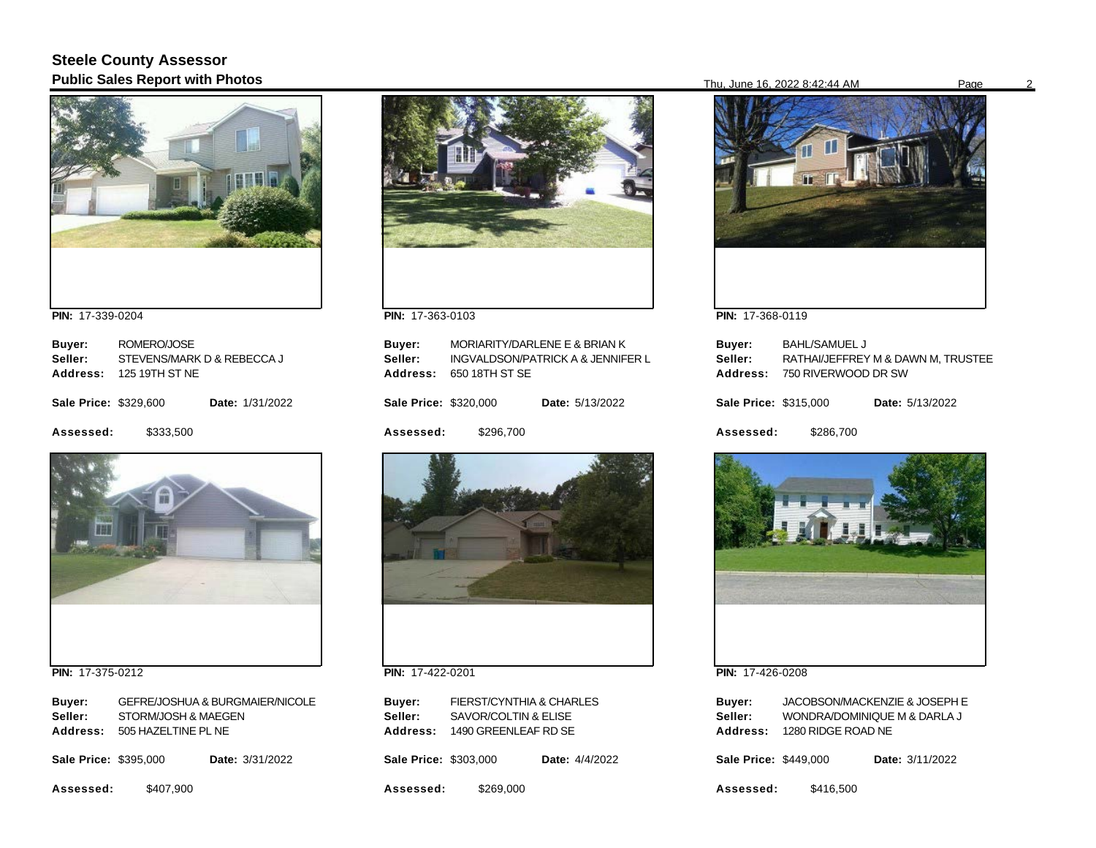## **Steele County Assessor Public Sales Report with Photos** Page 2022 8:42:44 AM Page 2022 8:42:44 AM Page 2022 8:42:44 AM Page



**PIN:**  17-339-0204

| Buyer:                       | ROMERO/JOSE                |                        |
|------------------------------|----------------------------|------------------------|
| Seller:                      | STEVENS/MARK D & REBECCA J |                        |
| Address:                     | 125 19TH ST NF             |                        |
| <b>Sale Price: \$329,600</b> |                            | <b>Date: 1/31/2022</b> |
| Assessed:                    | \$333,500                  |                        |



**PIN:**  17-375-0212

| Buyer:  | <b>GEFRE/JOSHUA &amp; BURGMAIER/NICOLE</b> |
|---------|--------------------------------------------|
| Seller: | STORM/JOSH & MAEGEN                        |
|         | Address: 505 HAZELTINE PL NE               |
|         |                                            |

| <b>Sale Price: \$395,000</b> |  | Date: 3/31/2022 |
|------------------------------|--|-----------------|
|                              |  |                 |

**Assessed:**  \$407,900



**PIN:**  17-363-0103

**PIN:**  17-422-0201

**Sale Price: \$303,000** 

**Address:**  1490 GREENLEAF RD SE

**Seller:** SAVOR/COLTIN & ELISE

\$269,000

FIERST/CYNTHIA & CHARLES

Date: 4/4/2022

**Assessed:** 

**Buyer:** 

| Buyer:<br>Seller:<br>Address: | 650 18TH ST SE | MORIARITY/DARLENE E & BRIAN K<br>INGVALDSON/PATRICK A & JENNIFER L |
|-------------------------------|----------------|--------------------------------------------------------------------|
| Sale Price: \$320,000         |                | <b>Date: 5/13/2022</b>                                             |
| <b>Assessed:</b>              | \$296,700      |                                                                    |
|                               |                |                                                                    |



**PIN:**  17-368-0119

| Buyer:<br>Seller:<br>Address: | <b>BAHL/SAMUEL J</b><br>750 RIVERWOOD DR SW | RATHAI/JEFFREY M & DAWN M. TRUSTEE |
|-------------------------------|---------------------------------------------|------------------------------------|
| <b>Sale Price: \$315,000</b>  |                                             | <b>Date: 5/13/2022</b>             |
| Assessed:                     | \$286.700                                   |                                    |



**PIN:**  17-426-0208

| Buyer:                       |                    | JACOBSON/MACKENZIE & JOSEPH E |
|------------------------------|--------------------|-------------------------------|
| Seller:                      |                    | WONDRA/DOMINIQUE M & DARLA J  |
| Address:                     | 1280 RIDGE ROAD NE |                               |
| <b>Sale Price: \$449,000</b> |                    | Date: 3/11/2022               |
| Assessed:                    | \$416.500          |                               |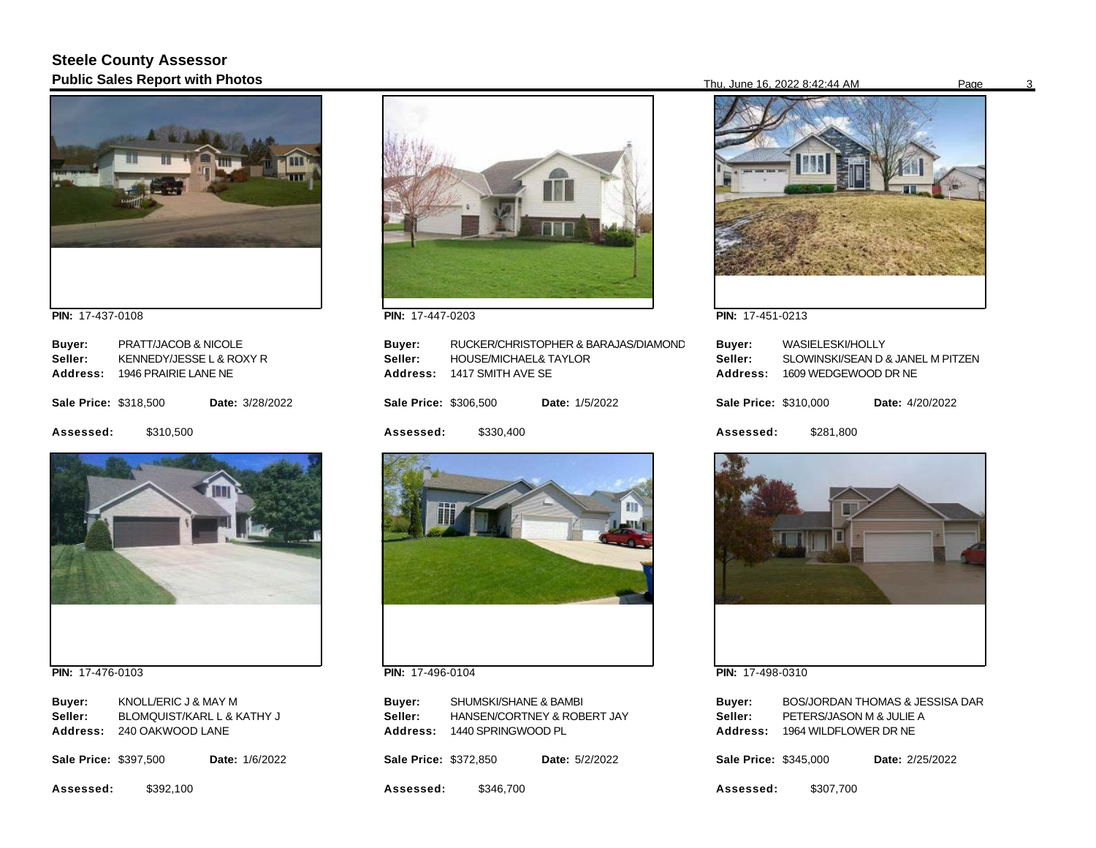# **Steele County Assessor Public Sales Report with Photos** Page 3 Page 3 and 2022 8:42:44 AM Page 3 Page 3 and 2022 8:42:44 AM Page 3 Page 3 Page 3 and 3 and 3 Page 3 and 3 and 3 and 3 and 3 and 3 and 3 and 3 and 3 and 3 and 3 and 3 and 3 and 3 an



**PIN:**  17-437-0108

| Buyer:                       | PRATT/JACOB & NICOLE     |                 |
|------------------------------|--------------------------|-----------------|
| Seller:                      | KENNEDY/JESSE L & ROXY R |                 |
| Address:                     | 1946 PRAIRIE LANE NE     |                 |
| <b>Sale Price: \$318,500</b> |                          | Date: 3/28/2022 |
| Assessed:                    | \$310.500                |                 |



**PIN:**  17-476-0103

| Buyer:          | KNOLL/ERIC J & MAY M       |
|-----------------|----------------------------|
| Seller:         | BLOMQUIST/KARL L & KATHY J |
| <b>Address:</b> | 240 OAKWOOD LANE           |

**Sale Price: \$397,500** Date: 1/6/2022

**Assessed:**  \$392,100



**PIN:**  17-447-0203

| Buyer:<br>Seller:<br>Address: | <b>HOUSE/MICHAEL&amp; TAYLOR</b><br>1417 SMITH AVE SE | RUCKER/CHRISTOPHER & BARAJAS/DIAMOND |
|-------------------------------|-------------------------------------------------------|--------------------------------------|
| <b>Sale Price: \$306,500</b>  |                                                       | <b>Date: 1/5/2022</b>                |
| Assessed:                     | \$330,400                                             |                                      |
|                               |                                                       |                                      |



**PIN:**  17-496-0104

| Buyer:   | SHUMSKI/SHANE & BAMBI       |
|----------|-----------------------------|
| Seller:  | HANSEN/CORTNEY & ROBERT JAY |
| Address: | 1440 SPRINGWOOD PL          |
|          |                             |

**Sale Price: \$372,850** Date: 5/2/2022

**Assessed:**  \$346,700



**PIN:**  17-451-0213

| Buyer:<br>Seller:<br>Address: | WASIELESKI/HOLLY<br>1609 WEDGEWOOD DR NE | SLOWINSKI/SEAN D & JANEL M PITZEN |
|-------------------------------|------------------------------------------|-----------------------------------|
| <b>Sale Price: \$310,000</b>  |                                          | <b>Date:</b> 4/20/2022            |
| Assessed:                     | \$281,800                                |                                   |



**PIN:**  17-498-0310

| Buyer:                |                          | <b>BOS/JORDAN THOMAS &amp; JESSISA DAR</b> |
|-----------------------|--------------------------|--------------------------------------------|
| Seller:               | PETERS/JASON M & JULIE A |                                            |
| <b>Address:</b>       | 1964 WILDFLOWER DR NE    |                                            |
| Sale Price: \$345.000 |                          | <b>Date: 2/25/2022</b>                     |

**Assessed:**  \$307,700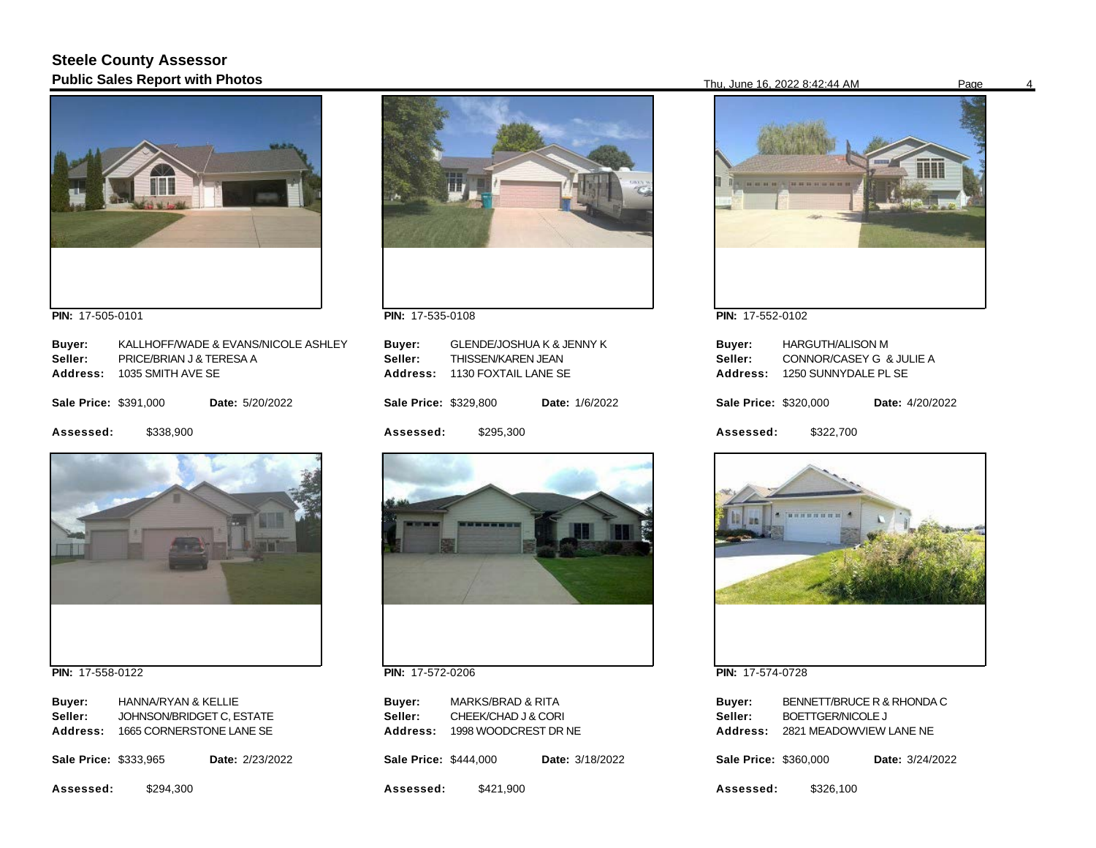# **Steele County Assessor Public Sales Report with Photos** Page 16, 2022 8:42:44 AM Page 16, 2022 8:42:44 AM Page



**PIN:**  17-505-0101

| Buyer:                | KALLHOFF/WADE & EVANS/NICOLE ASHLEY |                        |
|-----------------------|-------------------------------------|------------------------|
| Seller:               | PRICE/BRIAN J & TERESA A            |                        |
| Address:              | 1035 SMITH AVE SE                   |                        |
|                       |                                     |                        |
| Sale Price: \$391,000 |                                     | <b>Date: 5/20/2022</b> |
|                       |                                     |                        |
| Assessed:             | \$338,900                           |                        |
|                       |                                     |                        |



**PIN:**  17-558-0122

| Buyer:<br>Seller:<br>Address: | HANNA/RYAN & KELLIE<br>JOHNSON/BRIDGET C, ESTATE<br>1665 CORNERSTONE LANE SE |                        |
|-------------------------------|------------------------------------------------------------------------------|------------------------|
| Sale Price: \$333,965         |                                                                              | <b>Date: 2/23/2022</b> |
| Assessed:                     | \$294,300                                                                    |                        |



**PIN:**  17-535-0108

| Buyer:<br>Seller:<br>Address: | <b>GLENDE/JOSHUA K &amp; JENNY K</b><br>THISSEN/KAREN JEAN<br>1130 FOXTAIL LANE SE |                       |
|-------------------------------|------------------------------------------------------------------------------------|-----------------------|
| <b>Sale Price: \$329,800</b>  |                                                                                    | <b>Date: 1/6/2022</b> |
| Assessed:                     | \$295.300                                                                          |                       |
|                               |                                                                                    |                       |



**PIN:**  17-572-0206

| Buyer:                | <b>MARKS/BRAD &amp; RITA</b> |                 |
|-----------------------|------------------------------|-----------------|
| Seller:               | CHEEK/CHAD J & CORI          |                 |
| Address:              | 1998 WOODCREST DR NE         |                 |
| Sale Price: \$444,000 |                              | Date: 3/18/2022 |

**Assessed:**  \$421,900





**PIN:**  17-552-0102

| Buyer:                | HARGUTH/ALISON M         |                        |
|-----------------------|--------------------------|------------------------|
| Seller:               | CONNOR/CASEY G & JULIE A |                        |
| Address:              | 1250 SUNNYDALE PL SE     |                        |
| Sale Price: \$320,000 |                          | <b>Date:</b> 4/20/2022 |
| Assessed:             | \$322.700                |                        |



**PIN:**  17-574-0728

| Buyer:                | BENNETT/BRUCE R & RHONDA C |  |                        |
|-----------------------|----------------------------|--|------------------------|
| Seller:               | <b>BOETTGER/NICOLE J</b>   |  |                        |
| Address:              | 2821 MEADOWVIEW LANE NE    |  |                        |
| Sale Price: \$360.000 |                            |  | <b>Date: 3/24/2022</b> |
| Assessed:             | \$326,100                  |  |                        |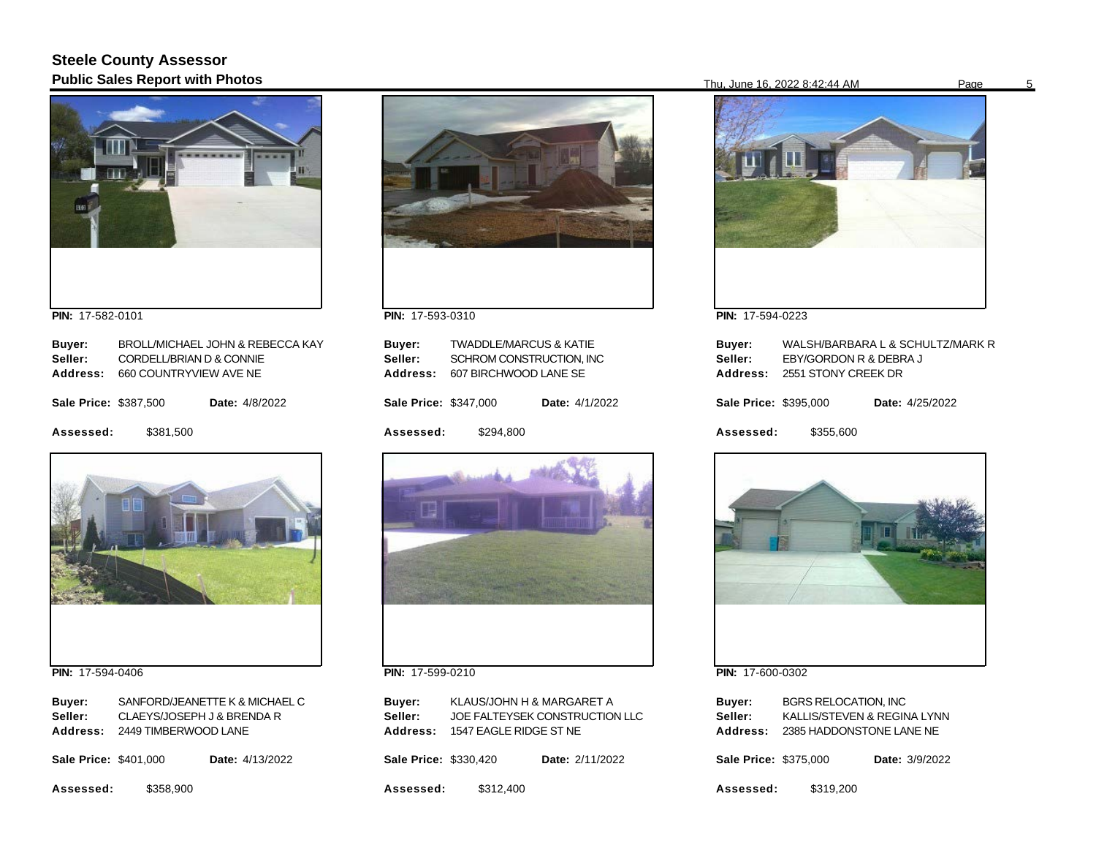# **Steele County Assessor Public Sales Report with Photos** 5



**PIN:**  17-582-0101

| Buyer:                |                          | BROLL/MICHAEL JOHN & REBECCA KAY |  |
|-----------------------|--------------------------|----------------------------------|--|
| Seller:               | CORDELL/BRIAN D & CONNIE |                                  |  |
| Address:              | 660 COUNTRYVIEW AVE NE   |                                  |  |
| Sale Price: \$387,500 |                          | <b>Date:</b> 4/8/2022            |  |
| Assessed:             | \$381.500                |                                  |  |



**PIN:**  17-594-0406

| Buyer:                       | SANFORD/JEANETTE K & MICHAEL C |  |  |
|------------------------------|--------------------------------|--|--|
| Seller:                      | CLAEYS/JOSEPH J & BRENDA R     |  |  |
|                              | Address: 2449 TIMBERWOOD LANE  |  |  |
| <b>Sale Price: \$401.000</b> | <b>Date:</b> 4/13/2022         |  |  |

**Assessed:**  \$358,900



**PIN:**  17-593-0310

| <b>Assessed:</b>                     | \$294.800                                                                              |                       |  |
|--------------------------------------|----------------------------------------------------------------------------------------|-----------------------|--|
| Sale Price: \$347,000                |                                                                                        | <b>Date:</b> 4/1/2022 |  |
| Buver:<br>Seller:<br><b>Address:</b> | <b>TWADDLE/MARCUS &amp; KATIE</b><br>SCHROM CONSTRUCTION. INC<br>607 BIRCHWOOD LANE SE |                       |  |
|                                      |                                                                                        |                       |  |



**PIN:**  17-599-0210

| Buyer:<br>Seller:<br>Address: | KLAUS/JOHN H & MARGARET A<br>1547 EAGLE RIDGE ST NE | JOE FALTEYSEK CONSTRUCTION LLC |
|-------------------------------|-----------------------------------------------------|--------------------------------|
| <b>Sale Price: \$330.420</b>  |                                                     | Date: 2/11/2022                |
| Assessed:                     | \$312,400                                           |                                |



**PIN:**  17-594-0223

| Buyer:<br>Seller:<br>Address: | EBY/GORDON R & DEBRA J<br>2551 STONY CREEK DR | WALSH/BARBARA L & SCHULTZ/MARK R |
|-------------------------------|-----------------------------------------------|----------------------------------|
| Sale Price: \$395,000         |                                               | Date: 4/25/2022                  |
| Assessed:                     | \$355.600                                     |                                  |



**PIN:**  17-600-0302

| Buyer:                       | <b>BGRS RELOCATION. INC</b> |  |                |
|------------------------------|-----------------------------|--|----------------|
| Seller:                      | KALLIS/STEVEN & REGINA LYNN |  |                |
| Address:                     | 2385 HADDONSTONE LANE NE    |  |                |
| <b>Sale Price: \$375,000</b> |                             |  | Date: 3/9/2022 |
| Assessed:                    | \$319,200                   |  |                |